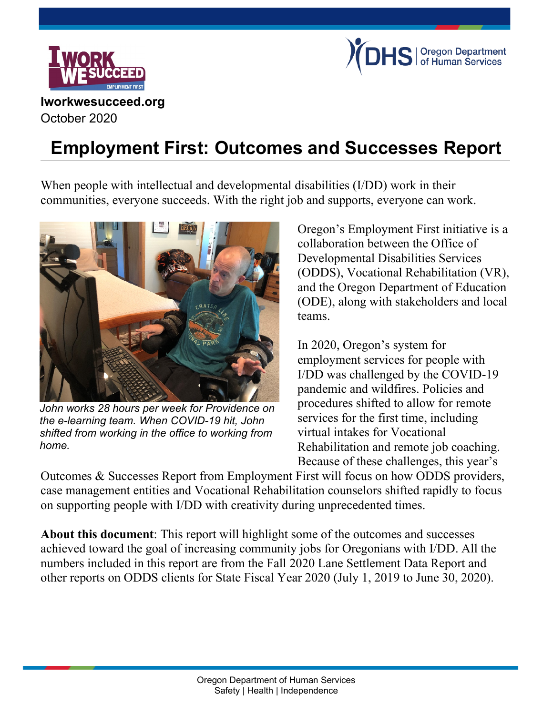



#### **Iworkwesucceed.org** October 2020

# **Employment First: Outcomes and Successes Report**

When people with intellectual and developmental disabilities (I/DD) work in their communities, everyone succeeds. With the right job and supports, everyone can work.



*John works 28 hours per week for Providence on the e-learning team. When COVID-19 hit, John shifted from working in the office to working from home.*

Oregon's Employment First initiative is a collaboration between the Office of Developmental Disabilities Services (ODDS), Vocational Rehabilitation (VR), and the Oregon Department of Education (ODE), along with stakeholders and local teams.

In 2020, Oregon's system for employment services for people with I/DD was challenged by the COVID-19 pandemic and wildfires. Policies and procedures shifted to allow for remote services for the first time, including virtual intakes for Vocational Rehabilitation and remote job coaching. Because of these challenges, this year's

Outcomes & Successes Report from Employment First will focus on how ODDS providers, case management entities and Vocational Rehabilitation counselors shifted rapidly to focus on supporting people with I/DD with creativity during unprecedented times.

**About this document**: This report will highlight some of the outcomes and successes achieved toward the goal of increasing community jobs for Oregonians with I/DD. All the numbers included in this report are from the Fall 2020 Lane Settlement Data Report and other reports on ODDS clients for State Fiscal Year 2020 (July 1, 2019 to June 30, 2020).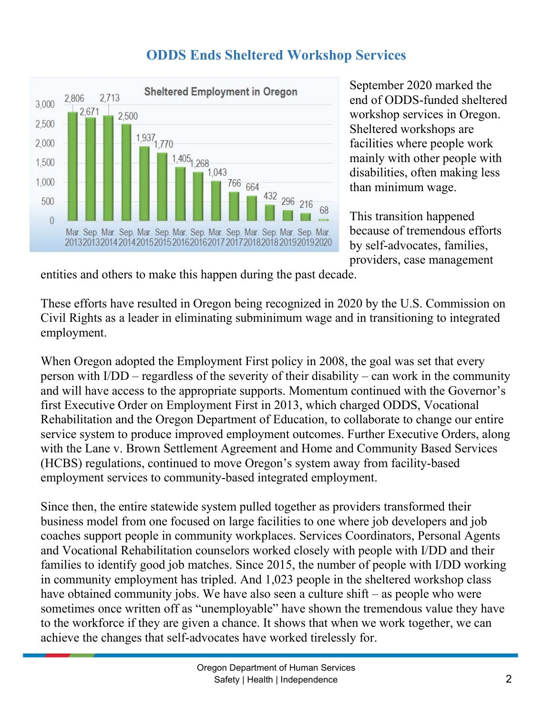

## **ODDS Ends Sheltered Workshop Services**

September 2020 marked the end of ODDS-funded sheltered workshop services in Oregon. Sheltered workshops are facilities where people work mainly with other people with disabilities, often making less than minimum wage.

This transition happened because of tremendous efforts by self-advocates, families, providers, case management

entities and others to make this happen during the past decade.

These efforts have resulted in Oregon being recognized in 2020 by the U.S. Commission on Civil Rights as a leader in eliminating subminimum wage and in transitioning to integrated employment.

When Oregon adopted the Employment First policy in 2008, the goal was set that every person with I/DD – regardless of the severity of their disability – can work in the community and will have access to the appropriate supports. Momentum continued with the Governor's first Executive Order on Employment First in 2013, which charged ODDS, Vocational Rehabilitation and the Oregon Department of Education, to collaborate to change our entire service system to produce improved employment outcomes. Further Executive Orders, along with the Lane v. Brown Settlement Agreement and Home and Community Based Services (HCBS) regulations, continued to move Oregon's system away from facility-based employment services to community-based integrated employment.

Since then, the entire statewide system pulled together as providers transformed their business model from one focused on large facilities to one where job developers and job coaches support people in community workplaces. Services Coordinators, Personal Agents and Vocational Rehabilitation counselors worked closely with people with I/DD and their families to identify good job matches. Since 2015, the number of people with I/DD working in community employment has tripled. And 1,023 people in the sheltered workshop class have obtained community jobs. We have also seen a culture shift – as people who were sometimes once written off as "unemployable" have shown the tremendous value they have to the workforce if they are given a chance. It shows that when we work together, we can achieve the changes that self-advocates have worked tirelessly for.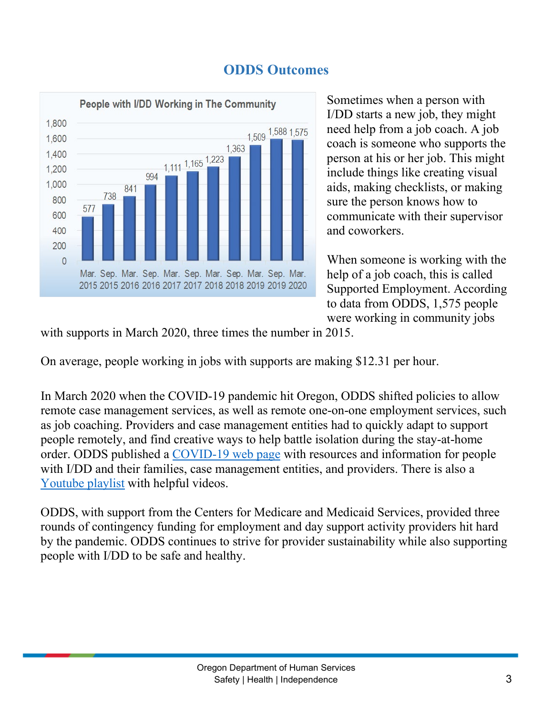



Sometimes when a person with I/DD starts a new job, they might need help from a job coach. A job coach is someone who supports the person at his or her job. This might include things like creating visual aids, making checklists, or making sure the person knows how to communicate with their supervisor and coworkers.

When someone is working with the help of a job coach, this is called Supported Employment. According to data from ODDS, 1,575 people were working in community jobs

with supports in March 2020, three times the number in 2015.

On average, people working in jobs with supports are making \$12.31 per hour.

In March 2020 when the COVID-19 pandemic hit Oregon, ODDS shifted policies to allow remote case management services, as well as remote one-on-one employment services, such as job coaching. Providers and case management entities had to quickly adapt to support people remotely, and find creative ways to help battle isolation during the stay-at-home order. ODDS published a [COVID-19 web page](https://www.oregon.gov/dhs/SENIORS-DISABILITIES/DD/Pages/ODDS-COVID-19-Information.aspx) with resources and information for people with I/DD and their families, case management entities, and providers. There is also a [Youtube playlist](https://www.youtube.com/playlist?list=PLsrX1nc_gB0pCQOXKFdhSl1W9t3nZxJ-3) with helpful videos.

ODDS, with support from the Centers for Medicare and Medicaid Services, provided three rounds of contingency funding for employment and day support activity providers hit hard by the pandemic. ODDS continues to strive for provider sustainability while also supporting people with I/DD to be safe and healthy.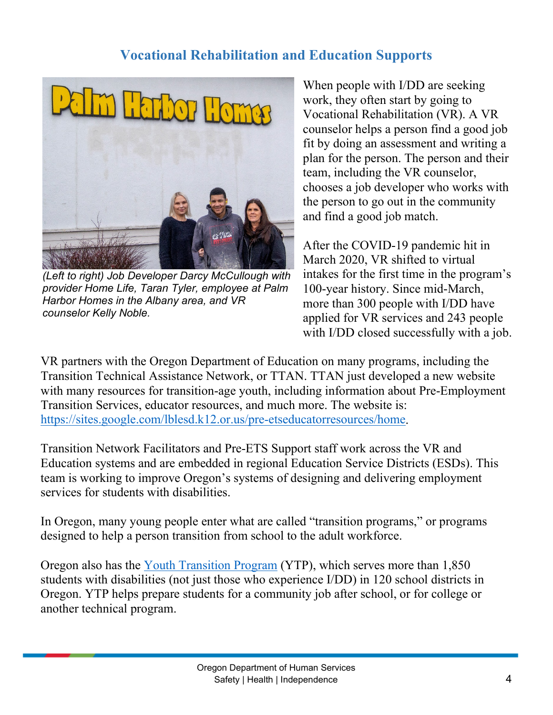## **Vocational Rehabilitation and Education Supports**



*(Left to right) Job Developer Darcy McCullough with provider Home Life, Taran Tyler, employee at Palm Harbor Homes in the Albany area, and VR counselor Kelly Noble.*

When people with I/DD are seeking work, they often start by going to Vocational Rehabilitation (VR). A VR counselor helps a person find a good job fit by doing an assessment and writing a plan for the person. The person and their team, including the VR counselor, chooses a job developer who works with the person to go out in the community and find a good job match.

After the COVID-19 pandemic hit in March 2020, VR shifted to virtual intakes for the first time in the program's 100-year history. Since mid-March, more than 300 people with I/DD have applied for VR services and 243 people with I/DD closed successfully with a job.

VR partners with the Oregon Department of Education on many programs, including the Transition Technical Assistance Network, or TTAN. TTAN just developed a new website with many resources for transition-age youth, including information about Pre-Employment Transition Services, educator resources, and much more. The website is: [https://sites.google.com/lblesd.k12.or.us/pre-etseducatorresources/home.](https://sites.google.com/lblesd.k12.or.us/pre-etseducatorresources/home)

Transition Network Facilitators and Pre-ETS Support staff work across the VR and Education systems and are embedded in regional Education Service Districts (ESDs). This team is working to improve Oregon's systems of designing and delivering employment services for students with disabilities.

In Oregon, many young people enter what are called "transition programs," or programs designed to help a person transition from school to the adult workforce.

Oregon also has the [Youth Transition Program](https://ytp.uoregon.edu/) (YTP), which serves more than 1,850 students with disabilities (not just those who experience I/DD) in 120 school districts in Oregon. YTP helps prepare students for a community job after school, or for college or another technical program.